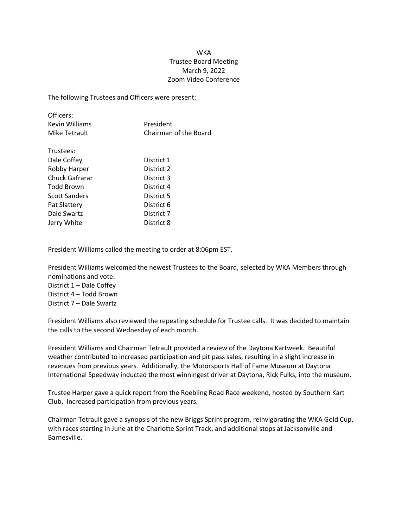## WKA Trustee Board Meeting March 9, 2022 Zoom Video Conference

The following Trustees and Officers were present:

| Officers:      |                       |
|----------------|-----------------------|
| Kevin Williams | President             |
| Mike Tetrault  | Chairman of the Board |

| Trustees:             |            |
|-----------------------|------------|
| Dale Coffey           | District 1 |
| Robby Harper          | District 2 |
| <b>Chuck Gafrarar</b> | District 3 |
| <b>Todd Brown</b>     | District 4 |
| <b>Scott Sanders</b>  | District 5 |
| Pat Slattery          | District 6 |
| Dale Swartz           | District 7 |
| Jerry White           | District 8 |

President Williams called the meeting to order at 8:06pm EST.

President Williams welcomed the newest Trustees to the Board, selected by WKA Members through nominations and vote:

District 1 – Dale Coffey District 4 – Todd Brown

District 7 – Dale Swartz

President Williams also reviewed the repeating schedule for Trustee calls. It was decided to maintain the calls to the second Wednesday of each month.

President Williams and Chairman Tetrault provided a review of the Daytona Kartweek. Beautiful weather contributed to increased participation and pit pass sales, resulting in a slight increase in revenues from previous years. Additionally, the Motorsports Hall of Fame Museum at Daytona International Speedway inducted the most winningest driver at Daytona, Rick Fulks, into the museum.

Trustee Harper gave a quick report from the Roebling Road Race weekend, hosted by Southern Kart Club. Increased participation from previous years.

Chairman Tetrault gave a synopsis of the new Briggs Sprint program, reinvigorating the WKA Gold Cup, with races starting in June at the Charlotte Sprint Track, and additional stops at Jacksonville and Barnesville.